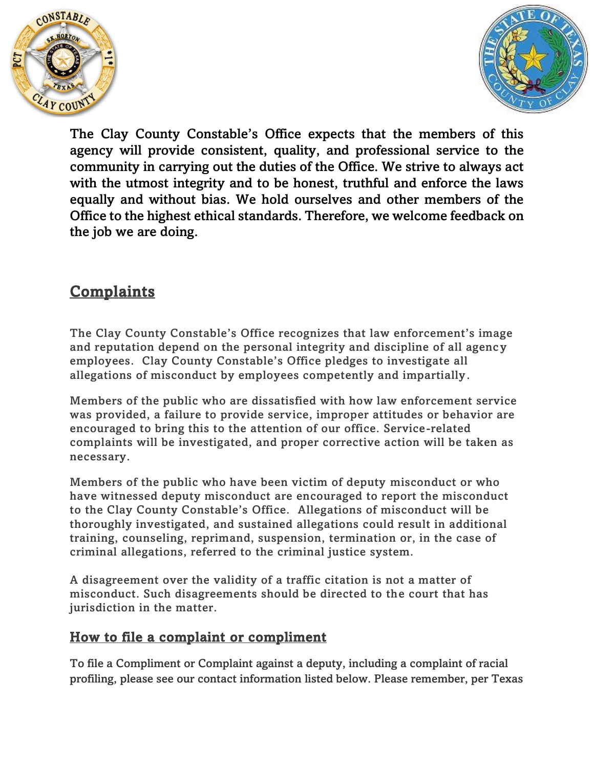



The Clay County Constable's Office expects that the members of this agency will provide consistent, quality, and professional service to the community in carrying out the duties of the Office. We strive to always act with the utmost integrity and to be honest, truthful and enforce the laws equally and without bias. We hold ourselves and other members of the Office to the highest ethical standards. Therefore, we welcome feedback on the job we are doing.

## **Complaints**

The Clay County Constable's Office recognizes that law enforcement's image and reputation depend on the personal integrity and discipline of all agency employees. Clay County Constable's Office pledges to investigate all allegations of misconduct by employees competently and impartially.

Members of the public who are dissatisfied with how law enforcement service was provided, a failure to provide service, improper attitudes or behavior are encouraged to bring this to the attention of our office. Service-related complaints will be investigated, and proper corrective action will be taken as necessary.

Members of the public who have been victim of deputy misconduct or who have witnessed deputy misconduct are encouraged to report the misconduct to the Clay County Constable's Office. Allegations of misconduct will be thoroughly investigated, and sustained allegations could result in additional training, counseling, reprimand, suspension, termination or, in the case of criminal allegations, referred to the criminal justice system.

A disagreement over the validity of a traffic citation is not a matter of misconduct. Such disagreements should be directed to the court that has jurisdiction in the matter.

## How to file a complaint or compliment

To file a Compliment or Complaint against a deputy, including a complaint of racial profiling, please see our contact information listed below. Please remember, per Texas